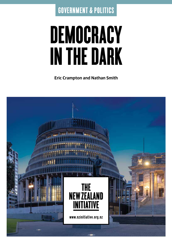GOVERNMENT & POLITICS

# DEMOCRACY IN THE DARK

**Eric Crampton and Nathan Smith**

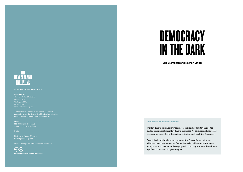#### **About the New Zealand Initiative**

The New Zealand Initiative is an independent public policy think tank supported by chief executives of major New Zealand businesses. We believe in evidence-based policy and are committed to developing policies that work for all New Zealanders.

Our mission is to help build a better, stronger New Zealand. We are taking the initiative to promote a prosperous, free and fair society with a competitive, open and dynamic economy. We are developing and contributing bold ideas that will have a profound, positive and long-term impact.

 $\odot$   $\odot$ **Attribution 4.0 International (CC by 4.0)**

# **THE<br>NEW ZEALAND**

**© The New Zealand Initiative 2020**

#### **Published by**

The New Zealand Initiative Wellington 6143 New Zealand **www.nzinitiative.org.nz**

Views expressed are those of the authors and do not necessarily reflect the views of The New Zealand Initiative, its staff, advisors, members, directors or officers.

**ISBN** 978-0-9951311-1-8 (online)

#### RR60

Designed by Angela Whitney, www.angelawhitney.com

Printing arranged by True North New Zealand Ltd

# DEMOCRACY IN THE DARK

**Eric Crampton and Nathan Smith**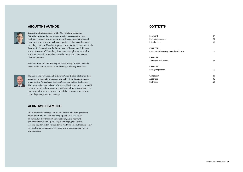### **ABOUT THE AUTHOR**



Eric is the Chief Economist at The New Zealand Initiative. With the Initiative, he has worked in policy areas ranging from freshwater management to policy for earthquake preparedness, and from local government to technology policy. He has recently focused on policy related to Covid-19 response. He served as Lecturer and Senior Lecturer in Economics at the Department of Economics & Finance at the University of Canterbury from 2003 through 2014, where his academic research included work on the causes and consequences of voter ignorance.

Eric's columns and commentary appear regularly in New Zealand's major media outlets, as well as on his blog, *Offsetting Behaviour*.



**CHAPTER 1**  Civics 101: What every voter should know

**CHAPTER 2**  The known unknowns

**CHAPTER 3**  Fixing the problem

Conclusion Appendix Endnotes

|   | 05       |  |
|---|----------|--|
|   | 07       |  |
|   | 09       |  |
|   |          |  |
| N | 11       |  |
|   |          |  |
|   | 18       |  |
|   |          |  |
|   | 27       |  |
|   |          |  |
|   | 35       |  |
|   | 36<br>40 |  |
|   |          |  |
|   |          |  |

Nathan is The New Zealand Initiative's Chief Editor. He brings deep experience writing about business and policy from his eight years as a reporter for *The National Business Review* and holds a Bachelor of Communication from Massey University. During his time at the *NBR*, he wrote weekly columns on foreign affairs and trade, coordinated the newspaper's feature section and covered the country's most exciting technology companies and startups.

### **ACKNOWLEDGEMENTS**

The authors acknowledge and thank all those who have generously assisted with this research and the preparation of this report. In particular, they thank Oliver Hartwich, Luke Redward, Joel Hernandez, Briar Lipson, Roger Partridge, Jack Vowles, Graeme Edgeler, Eldon Paki and Paul Andrews. The authors are solely responsible for the opinions expressed in this report and any errors and omissions.

### **CONTENTS**

Foreword Executive summary 07 Introduction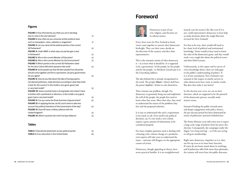## **Foreword**



Democracy is part of our civic religion, and elections are its solemn masses.

Every three years (in New Zealand at least), voters come together to exercise their democratic birthright. They cast their votes, decide on the direction of the country, and elect their representatives.

This is the romantic notion of what democracy is – or at least what it should be. It is supposed to be a government "of the people, by the people and for the people," as Abraham Lincoln put it in the Gettysburg Address.

The idea behind this is already encapsulated in the word. The people (*δῆμος* / *dêmos*) shall have the power (*κράτος* / *krátos*) to rule themselves.

There remains one problem, though. For democracy to genuinely bring out and implement the will of the people, the people first need to know what they want. More than that, they need to understand the nature of the problems they face and the proposed solutions.

It is easy to understand why such a requirement is too much to ask. Even small-scale political decisions, say if a city needs a new school, require a great amount of information to be considered properly.

For more complex questions such as dealing with a housing crisis, climate change or a pandemic, even experts will take years to understand the issues – and may still disagree on the appropriate courses of action.

Democracy, though appealing in theory, faces severe practical hurdles. It is no straightforward miracle cure for society's ills. But even if it is not, could representative democracy at least help us make decisions about the rough direction of travel for New Zealand?

For that to be true, there would still need to be a basic level of political and institutional knowledge. Voters would at least need to know the rules of the democratic game, and they would need a very rough idea about the political actors and their belief systems.

Unfortunately, as this report and its survey of civics knowledge shows, there are wide gaps in the public's understanding of politics. If it is of any consolation, New Zealand is not unusual in this respect as similar surveys in other democracies have come to similar results. But does that make it any better?

In this election year 2020, we can see how elections, which are supposed to be the pinnacle of the democratic process, actually make matters worse.

Instead of leading the public towards more and deeper engagement with policy choices, the pre-election period has been dominated by stories of politicians' personal misbehaviour.

The Prime Minister even told voters not to expect a large-scale range of policies from her party this election. Consequently, she campaigns under the slogan 'Let's keep moving' – as if she was trying to sell gym memberships.

Right now, democracy, imperfect as it is, does not live up even to its most basic function. If voters do not know much about its workings, and if politicians offer little more than platitudes, the country will never have the public discourse

#### **Figures**

| FIGURE 1: How informed do you think you are in deciding              |    |
|----------------------------------------------------------------------|----|
| how to vote in the next election?                                    | 21 |
| FIGURE 2: How often do you consume written political news            |    |
| such as newspapers, news, websites or magazines?                     | 21 |
| FIGURE 3: Can you name all the political parties in the current      |    |
| NZ Parliament?                                                       | 22 |
| FIGURE 4: Under MMP, in what ways can parties gain a seat            |    |
| in Parliament?                                                       | 22 |
| <b>FIGURE 5:</b> Who is the current Minister of Education?           | 22 |
| <b>FIGURE 6:</b> Who is the current Minister for the Environment?    | 22 |
| FIGURE 7: Which parties in the current NZ Parliament voted           |    |
| for the Zero Carbon Bill which passed in late 2019?                  | 23 |
| FIGURE 8: Some people say that the best people from all parties      |    |
| should come together and form a permanent, all-party government.     |    |
| Do you agree?                                                        | 23 |
| FIGURE 9: How do you feel about the idea of having experts,          |    |
| not elected politicians, make decisions according to what they think |    |
| is best for the country? Is this model a very good, good, bad        |    |
| or very bad model?                                                   | 23 |
| FIGURE 10: Some countries have a strong leader who doesn't have      |    |
| to bother with a parliament or elections. Is this model a very good, |    |
| good, bad or very bad model?                                         | 23 |
| FIGURE 11: Can you name the three branches of government?            | 24 |
| FIGURE 12: In applying the law, do NZ courts have to take into       |    |
| account the political intentions of the Government of the day?       | 24 |
| FIGURE 13: Does NZ have a military alliance with the                 |    |
| United Kingdom?                                                      | 25 |
| FIGURE 14: Which countries form the Five Eyes Alliance?              | 25 |
|                                                                      |    |

#### **Tables**

| TABLE 1: Educational attainment across political parties | 25 |
|----------------------------------------------------------|----|
| <b>TABLE 2:</b> Civics education in the United States    |    |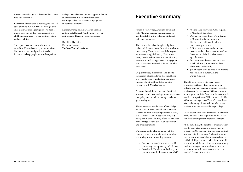## **Executive summary**

Almost a century ago, American columnist H.L. Mencken quipped that democracy is a pathetic belief in the collective wisdom of individual ignorance.

The century since then brought ubiquitous radio, and then television. Education levels rose substantially. The internet provided everyone with access to a global library. The answer to any question about New Zealand's history, its constitutional arrangements, voting system or its government is available for anyone who cares to ask.

Despite this easy information, and despite increases in education levels that should give everyone the tools to understand the world, the state of political knowledge remains consistent with Mencken's quip.

A passing knowledge of the state of political knowledge could lead to despair  $-$  or amazement that policy outcomes have managed to be as good as they are.

This report canvasses the state of knowledge about civics in New Zealand, and elsewhere. It draws on both previously published surveys, like the New Zealand Election Survey, and a newly commissioned survey of the current state of knowledge about New Zealand's political and civic institutions.

Our survey, undertaken in January of this year, suggested Kiwis might need to do a bit of studying before the coming election:

- Just under 70% of Kiwis polled could name every party presently in Parliament;
- Less than half understood both ways a party can enter Parliament under MMP;
- About a third knew Hon Chris Hipkins is Minister of Education;
- Only one in twenty knew David Parker is Minister for the Environment;
- One in eight could identify all three branches of government;
- A fifth knew that courts do not have to consider the political intentions of the Government of the day when making legal decisions;
- Just over one in five respondents knew which political parties voted in favour of the Zero Carbon Bill;
- 56% of respondents believed New Zealand has a military alliance with the United Kingdom.

These kinds of misperceptions can matter. If one does not know which parties are even in Parliament, how can they successfully reward or punish parties in the election? Without a working knowledge of how MMP works, will a voter be able to reflect their preferences? If it is assumed the UK will come running to New Zealand's rescue due to a fanciful military alliance, will that affect voters' preferences about defence and foreign policy?

Civics education at secondary school is relatively weak, with few students picking up the NCEA standards that rigorously approach the topic.

At the same time, the benefits of civics education may be overstated: decades of instruction in civics in the US coincide with very poor political knowledge in that country. And one intriguing experiment, which added new lessons about the US Bill of Rights to some civics classrooms, did not wind up reinforcing civics knowledge among students: surveyed two years later, they knew no more about it than students who had not received the extra instruction.

it needs to develop good policies and hold those who rule to account.

Citizens and voters should not resign to this sad state of affairs. We can strive for stronger civic engagement. But as a prerequisite, we need to improve our knowledge – and especially our children's knowledge – of our political system and our politics.

This report makes recommendations on what New Zealand could try to bolster civics. For example, we could provide financial incentives to keep people informed on politics. Perhaps these ideas may initially appear ludicrous and far-fetched. But isn't this better than running a policy-free election campaign for an apathetic electorate?

Democracy may be an unrealistic, utopian and unworkable ideal. We should not give up on it though. There are worse alternatives.

**Dr Oliver Hartwich Executive Director The New Zealand Initiative**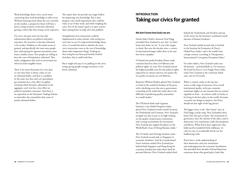## **INTRODUCTION Taking our civics for granted**

#### **We don't know how lucky we are**

US-based non-profit Freedom House ranks countries based on their civil liberties and political rights. In 2019, New Zealand earned the highest possible score for the political rights enjoyed by its citizens and was two points shy of a perfect 60 points on civil liberties.<sup>1</sup>

Satirist John Clarke's character Fred Dagg reminded New Zealand in 1975 that "we don't know how lucky we are." It was a bit tongue in cheek. But over the decades since, a variety of international league tables show us he may have been a prophet.

Reporters Without Borders placed New Zealand as ninth in the world for freedom of the press, with a declining score due not to government censorship of the media but rather due to the difficulty of producing quality journalism in a small market.<sup>2</sup>

behind the Netherlands and Sweden) and top of the charts for the Institute's combined overall measure of human freedoms.<sup>6</sup>

The UK-based think tank Legatum Institute's 2019 Global Prosperity Index placed New Zealand seventh overall, between the Netherlands and Germany. New Zealand's strength was due in part to its high ranking on the quality of governance institutions and a strong environment for investment.<sup>3</sup> New Zealand also topped the planet on the World Bank's Ease of Doing Business index.4

The US think tank Heritage Institute ranks New Zealand second only to Singapore in economic freedoms.<sup>5</sup> And the Canada-based Fraser Institute ranked New Zealand just behind both Singapore and Hong Kong for economic freedom but miles above both for personal liberties (New Zealand ranked third

New Zealand ranked second only to Iceland in the Institute for Economics & Peace's Global Peace Index7 and is the world's least corrupt country, according to Transparency International's Corruption Perception Index.8

For other indices, New Zealand ranks near the bottom – and thankfully so. For instance, the Fund for Peace's 2020 Fragile States Index ranks New Zealand as the 173rd least failed state, out of 178 overall.

When a country ranks in the top tiers across a wide range of measures of its overall institutional quality, with peer countries sometimes higher on one measure but no country regularly in front – its citizens really are lucky to be living in the best place in the world. Everyone can point out things to improve, but Kiwis should not lose sight of the big picture.

The bigger worry is the "don't know" part of Fred Dagg's catchy song. New Zealanders don't know how they got so lucky. The institutions of governance since the reforms of the 1980s, and its democratic civic institutions, built that prosperity and liberty. When Kiwis don't appreciate what holds up this wonderful little clubhouse, it's a bit too easy to accidentally knock out the loadbearing walls.

Kiwis have a weak understanding of their democratic and civic institutions and underappreciate the economic foundations that provided three decades of broad bipartisan consensus about what good policy looks like.

Weak knowledge about civics can be more concerning than weak knowledge in other areas. Without knowing much about the cars currently on the market, a prospective buyer will have a pretty strong incentive to become informed: getting a choice like that wrong can be expensive.

For civics, because each vote has only infinitesimal effects on political and policy outcomes, the incentive to become informed is far weaker. Problems in the media sector in general, and specifically the issue most people have with paying for rigorous journalism, stem from a similar source. Few people are willing to bear the costs of being better informed. They make a judgement that such an investment too often has little tangible return.

There is far more discussion of a civic duty to vote than there is about a duty to cast an informed ballot, and that is a problem. In the same way that each car's greenhouse gas emissions has a tiny effect on global warming which becomes substantial in the aggregate, each vote has a tiny effect on political and policy outcomes. And there is no equivalent to the Emissions Trading Scheme to internalise the externalities that come of poorly informed ballots.

This report does not provide any magic bullets for improving civic knowledge. But it does propose a few small experiments that could be tried, to see if they work, and while weighing the costs. Part of the report's goal is to spur creative ideas among Kiwis to help solve this problem.

Strengthened civics instruction could be implemented in some schools, with testing two years later to see if it improved knowledge about civics. It would also look at whether the extra civics instruction came at the cost of knowledge about other important things. Pushing on that string has not been particularly fruitful elsewhere, but it could work here.

But it might also pay to try pulling on the civics string: giving people stronger incentives to be better informed.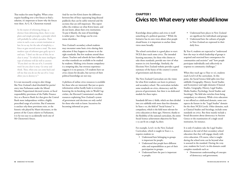## **CHAPTER 1 Civics 101: What every voter should know**

Knowledge about politics and civics is itself something of a political question.<sup>10</sup> While the Initiative has its own views about what people *should* know, it is important to anchor those views more broadly.

The school curriculum is a good place to start: NCEA does teach some civics. The intended learning outcomes, for those who choose to take those standards, provide one view of what matters in civic knowledge. Similarly, the Elections New Zealand website provides a good summary of the basics of the country's system of government and elections.

For example, Level I in the New Zealand Curriculum, which is taught in Years 1–2, requires students to:

- Understand how belonging to groups is important for people;
- Understand that people have different roles and responsibilities as part of their participation in groups;
- Understand how the past is important to people;
- Understand how places in New Zealand are significant for individuals and groups;
- Understand how the cultures of people in New Zealand are expressed in their daily lives.

The New Zealand Curriculum sets the vision for what Kiwi students can learn in primary and secondary school. The curriculum includes some standards on civics, democracy and the process of government, but there is no dedicated module for these topics. Standards fall into 17 fields, which are then divided into 200 subfields with more than 800 domains. In Years 1–10, the field of "Social Science" is compulsory, which is the field most relevant for civics education at those ages. However, thanks to the flexibility of the national curriculum, the entire Social Science achievement objectives for Years 1–13 can fit on a single A4 sheet. When they reach age 15 (Year 10–11), students reach Level 6 of the curriculum. At this point, the Social Science field splits into four subfields (Geography, History, Social Studies and Economics) and eight domains (Classical Studies, Geography, History, Legal Studies, Media Studies, Psychology, Social Studies and Sociology). The field also switches from being compulsory to voluntary. While civics education is not offered as a dedicated domain, some core aspects do feature in the "Legal Studies" domain for the three NCEA Levels. Other domains, such as Classical Studies and Sociology, include some standards on civics. But these mainly include a broad discussion about democracy in Ancient Greece or the examination of a single social institution, for instance.

By Year 8, students are expected to "understand how the ways in which leadership of groups is acquired and exercised have consequences for communities and societies" and "how people participate individually and collectively in response to community challenges."

It is only if students take the Legal Studies domain at the end of their secondary school education that they will engage closely with civics education. Of course, what is taught during the school term can be beyond what is assessed in the standard. During the 2019 year, students for Level 1 in this domain could complete standards such as:

• Demonstrate understanding of concepts of democracy and government;

That makes for some fragility. When crises require hurdling over a few fences to find a solution, it's important to know why the fences were there. As G. K. Chesterton warned:

In the matter of reforming things, as distinct from deforming them, there is one plain and simple principle; a principle which will probably be called a paradox. There exists in such a case a certain institution or law; let us say, for the sake of simplicity, a fence or gate erected across a road. The more modern type of reformer goes gaily up to it and says, "I don't see the use of this; let us clear it away." To which the more intelligent type of reformer will do well to answer: "If you don't see the use of it, I certainly won't let you clear it away. Go away and think. Then, when you can come back and tell me that you do see the use of it, I may allow you to destroy it."9

It is not necessarily *wrong* to alter things like New Zealand's dual-threshold for parties' entry into Parliament under the Mixed Member Proportional electoral system, or fiscal responsibility provisions of the Public Finance Act; or a Reserve Bank Act that gives the Central Bank more independence within a highly prescribed range of activities. But if someone is unclear *why* those provisions exist, or the historic role played by Maori electorates, or the powers of the Courts relative to Parliament, it is far too easy to accidentally torch one of Mr Chesterton's fences.

And far too few Kiwis know the difference between bits of fence separating long-disused paddocks that can be safely removed and the sections that are still important. This report tallies the evidence on what Kiwis know, and do not know, about their civic institutions. To put it bluntly, the state of knowledge is rather poor – but things can be even worse elsewhere.

New Zealand's secondary school students may encounter some basic civics during their education if they happen to choose to sit the right standards. But few students attend these classes. Teachers and schools do have influence on what standards are available to be studied by students. Making civics lessons compulsory is a tempting idea, but overseas experience suggests it is no panacea. US students have sat civics classes for decades, but surveys of their political knowledge are not rosy.

A plethora of online civics resources is available for those who are interested. But just as sports information online hardly leads to everyone knowing the tie-breaking rules in World Cup cricket, the Electoral Commission's excellent resources explaining New Zealand's system of government and elections are only useful for those who wish to know. Incentives for becoming informed are poor.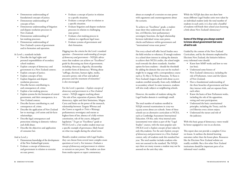about an example of a restraint on state power with arguments and counterarguments about the scenario.

To achieve an "Excellence" grade, a student must show they understand: the rule of law, civil liberties, how parliamentary sovereignty functions, the legal relationship between individual versus state power, checks and balances within government and "international versus state power."

Not every school will offer Social Studies once the field switches to voluntary. If enough students in a school show interest in taking the domain to achieve their NCEA credits, the school might teach towards the above standards. Another option for keen students – should the threshold for adding the domain that year not be reached – might be to engage with a correspondence course such as Te Aho o Te Kura Pounamu. Te Kura is New Zealand's largest school with about 25,000 students enrolled annually, from early childhood to secondary school. In some instances, students will also study subjects at neighboring schools.

While the NZQA data does not show how many different Legal Studies units were taken by an individual student (only the total number of students in each unit), it is clear only a handful of students will finish their school years knowing a little about New Zealand's democracy.<sup>11</sup>

However, the number of students taking the Legal Studies domain is vanishingly small.

The total number of students enrolled in NZQA external examinations in 2019 was 143,509 across about 500 schools. Some of these schools use an alternative curriculum to NCEA, such as Cambridge Assessment International Education. Of this, only 7609 internal units (assessments) were taken as part of the "Legal Studies" courses, with the most popular unit (NCEA Level 2 *Explain concepts of law*) taken by only 684 students. For the unit *Explain concepts of democracy and government in a New Zealand context*, only 218 students took this standard last year. The total number includes students who were not assessed in the standard. The NZQA says there are many reasons a student may not be assessed on the unit they take.

#### **Some of the things you always wanted to know about government but were afraid to ask**

Guided by the content of the New Zealand Curriculum, and by the elements emphasised by Elections New Zealand, the Initiative believes every informed voter should:

- Know how MMP works and how to vote (see box);
- Understand some history of New Zealand's democracy, including the role of Parliament, voters and the Queen of New Zealand;
- Have a foundational understanding of the three branches of government and how they interact with, and are separate from, each other;
- Know the basics of how Parliament works, including the role of the opposition, voting and voter participation;
- Understand the basic constitutional principles, including the Treaty, and the civil liberties every citizen enjoys;
- Understand the nature and role of the judiciary.

With this basic grasp of democracy, voters would be better equipped to vote in an election.

This report does not provide a complete Civics 101 lesson. It outlines the desired learning outcomes rather than the lesson plans. Resources like the Elections New Zealand website are readily available. But a few other New Zealand institutions should be important parts of an informed voter's toolkit.

- Demonstrate understanding of foundational concepts of justice;
- Demonstrate understanding of concepts of law;
- Demonstrate understanding of litigation and dispute resolution processes in New Zealand;
- Demonstrate understanding of law-making processes;
- Demonstrate understanding of New Zealand's system of government and its formation and operation.

At Level 2, standards include:

- Describe the legal rights and personal responsibilities of secondary school students;
- Explain concepts of democracy and government in a New Zealand context;
- Explain concepts of justice;
- Explain concepts of law;
- Explain litigation and dispute resolution processes;
- Describe factors contributing to, and consequences of, crime;
- Explain a law-making process;
- Explain systems for the formation of central government, and their consequences, in a New Zealand context;
- Describe factors contributing to, and consequences of, crime;
- Describe the application of New Zealand law to marriage, civil union and de-facto relationships;
- Describe legal consequences and protections relating to domestic violence and child abuse;
- Describe the objectives and application of consumer law.

And at Level 3:

- Demonstrate knowledge of the development of the New Zealand legal system;
- Evaluate a concept of democracy and government in relation to restraint on state power;
- Evaluate a concept of justice in relation to a specific situation;
- Evaluate a concept of law in relation to a specific situation;
- Evaluate litigation and dispute resolution processes in relation to challenging state power;
- Evaluate a law-making process in relation to a significant legal issue;
- Evaluate systems of government and their formation.

Digging into the criteria for the Level 1 standard question – *Demonstrate understanding of concepts of democracy and government* – NZQA's advice states that students can achieve an "Excellence" grade by discussing any form of government, including: theocracy, oligarchy, dictatorship or another form of democracy. Writing about "suffrage, elections, human rights, media, executive power, rule of law and judicial processes and the treatment of minorities" is also encouraged.

For the Level 2 question – *Explain concepts of democracy and government in a New Zealand context* – NZQA suggests teaching about: "the rule of law, separation of powers, liberal democracy, rights and their limitations, Magna Carta and limits on the power of the monarch, relationship between *Tangata Whenua* and the Crown as regards *te Tiriti o Waitangi*, parliamentary sovereignty and statute as highest form of law, absence of a fully written constitution, role of the courts, delegated legislation." To get an "Excellence" grade at NCEA Level 2, a law studies student must use a specific example of governance, likely based on what was taught during the school term.

Should a student continue with Legal Studies, they can choose from several more complex exam questions at Level 3. For instance: *Evaluate a concept of democracy and government in relation to restraint on state power*. The student can draw from media reports or expert commentary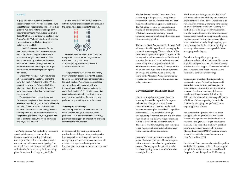The Act does not bar the Government from increasing spending or taxes. Doing both at the same time can be consistent with balanced budgets and maintaining prudent debt levels. The Act rather prevents Governments from relying on debt to finance normal operations. Whether by increasing spending without increasing taxes, or by substantially cutting taxes without cutting spending.

The Reserve Bank Act provides the Reserve Bank with operational independence in managing the country's money supply. The Act helps to isolate the monetary system from politicians who might be tempted to pull monetary levers for electoral purposes. Before April 2019, the Bank operated under Policy Targets Agreements with the Minister of Finance to specify the range within which the Bank must keep inflation outcomes, on average and over the medium term. The Remit to the Monetary Policy Committee has replaced this model and now defines monetary policy outcomes.

#### **Don't know much about civics books**

Not everything that is important is worth knowing. It would be impossible for anyone to know everything that matters. People triage information all the time. As the world becomes more complex, the scale of the problem only increases. Most people have a rough understanding of how toilets work. But few other than plumbers could draw a reliable schematic to help someone build a toilet from scratch. The same is true for everything from computers to car engines, and from historical knowledge to the function of civic institutions.

Economists frame this information problem as one of rational ignorance. Humans acquire information whenever there is a good reason to do so. Yet only up to the point where the benefits of getting the next bit of information outweighs the cost.

Think about purchasing a car. The first bits of information about the reliability and suitability of different models for a buyer's needs would be valuable. But, eventually, spending time reading up on the different options and searching for the best deal is no longer worthwhile: it's time to make the purchase. For this kind of decision, not acquiring enough information can be costly. In private markets where purchases are taken home, mistakes are costly. People regularly get things wrong, but the incentives for getting the necessary information to make good decisions are appropriately aligned.

But what is the upside to getting more information about politics and civics? If a person buys the wrong car, they will take home a costly mistake. But what happens if the same individual decides never to learn much about civics and then makes a mistake when voting?

The party vote is much more important. For example, imagine that in an election, party A receives 30% of the party vote. This would entitle it to 30% of the total seats in Parliament (36 seats) or a bit more when considering the votes cast for parties that did not enter Parliament. If, alongside its 30% of the party vote, party A also won 12 electorate seats, this would not mean a total of  $36 + 12 = 48$  seats.

Some caution is needed when talking about mistakes in voting. Political partisans would claim that voting for their preferred party is not a mistake. The meaning here is a bit more nuanced. People can have large differences in values which can reasonably lead to big differences in what each sees as acceptable tradeoffs. None of that can possibly be a mistake. It would be like saying that preferring apples to pineapples is a mistake.

But suppose that a person's values led them to support a lot of government involvement in economic regulation and redistribution. In that case, voting for ACT might be a mistake. Similarly, if a person likes multiparty coalition governments reliably produced by a Mixed Member Proportional (MMP) electoral system, it would be a mistake to vote for a return to First Past the Post (FPP).

In neither of those cases are the underlying values a mistake. The problem is that failing to acquire enough information led to a vote at odds with the person's underlying values. It's like saying

The Public Finance Act guides how Parliament spends public money. It does not ban Governments from running deficits, nor does it prescribe tax levels. It rather provides transparency in Government budgeting. The Act requires the Government to explain how it will raise the funds necessary for its spending plans. It requires that budgets typically be

in balance and that debt be maintained at prudent levels while providing contingencies for emergencies – such as pandemics. In an emergency, the Government need not maintain a balanced budget but should publish its intended path back to more normal and prudent debt levels.

#### **MMP 101**

In 1993, New Zealand voted to change the electoral system from First Past the Post (FPP) to Mixed Member Proportional (MMP). FPP tends to generate two-party systems with single-party majority governments, though does not always do so. MPs from four parties were elected at New Zealand's last FPP election. Under MMP, coalition goverments are more likely as single party majorities are less likely.

Under FPP, voters get one vote: for the Member of Parliament (MP) representing their electorate. The winning party becomes the Government if it gets more than half of the electorates either by itself or in coalition with other parties. FPP electoral systems tend to produce Parliaments consisting of two major parties, in the absence of significant regional differences.

Under MMP, voters get two votes: for the MP representing their electorate and for the party they want in Parliament. Unlike FPP, the composition of seats in Parliament is (with a minor exception) determined by the share of party votes gained rather than the number of electorate MPs.

Rather, party A will first fill its 36-seat quota with the number of electorate MPs (in blue), and the remaining 24 seats with list MPs (in red).



However, electorate seats are an important safeguard for smaller parties. To gain a seat in Parliament, a party must either:

- 1. Reach 5% of party votes nationally; or
- 2. Win an electorate seat.

This 5% threshold was created by Germany (from where New Zealand take its MMP system) to ensure that minor extremist parties don't gain too much traction. Proportional representation systems without a threshold, or with low thresholds, can yield fragmented legislatures and difficult coalitions.12 Yet high thresholds risk encouraging voters to select parties that do not mirror their personal views if they worry their preferred party is unlikely to enter Parliament.

#### **The Exception: Overhangs**

Yet, what if party A wins an electorate seat but doesn't receive enough of the party vote to justify one seat in parliament? In this "overhang," parliament gets bigger – by one seat. An overhang of more seats is also possible.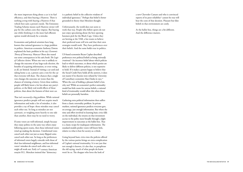a new Chevrolet Camaro and who is convinced reports of its poor reliability<sup>15</sup> cannot be true will bear the costs of that decision. Pleasant but false beliefs in that environment are costly.

At the ballot box, things are a bit different. And the difference matters.

the most important thing about a car is its fuel efficiency, and then buying a Humvee. There is nothing *wrong* with buying a Humvee if that vehicle best suits a person's needs. The Emissions Trading Scheme means each Humvee owner will pay for the carbon costs they impose. But buying one while thinking it is the most fuel-efficient option would obviously be a mistake.

Economists and political scientists have long known that rational ignorance is a large problem in politics. American economist Anthony Downs explained the basic problem in his 1957 *Economic Theory of Democracy*. Mancur Olson also teased out some consequences in his 1965 book *The Logic of Collective Action*. When one vote is unlikely to change the outcome of any large-scale election, the benefits of acquiring information, or even voting at all, are limited. Instead of visiting a car yard and taking home a car, a person casts a vote for the car that everyone will share. The chances that a single vote changes the outcome are worse than the chances of winning a lottery. Given these realities, people will likely know a lot less about any party's policies, or the likely real-world effects of those policies, than about the features of their next car.

That isn't *necessarily* a big problem. While rational ignorance predicts people will not acquire much information and make a lot of mistakes, it also provides a ray of hope: those mistakes may cancel each other out. So long as mistakes are not *systematic*, or weighing more heavily to one side than another, there may be no need to worry.

If some voters are well-informed, simply because they enjoy politics in the same way others enjoy following sports teams, then those informed voters wind up making the decision. Uninformed votes cancel each other out just as many flipped coins cancel each other out. So long as the preferences of informed voters largely coincide with those of their less-informed neighbours, and less-informed voters' mistakes do cancel each other out, it might all work out. Early 20<sup>th</sup>-century American essayist H.L. Mencken insisted that "democracy

is a pathetic belief in the collective wisdom of individual ignorance." Perhaps that belief is better grounded in theory than Mencken thought.

Unfortunately, the world does not seem to work that way. People who follow sports do not just enjoy speculating about the best opening batsmen pick for the Black Caps. Unless they are betting at the TAB, a fan wants to believe their preferred team will win and that their own strategies would work. They have preferences over their beliefs. And the same holds true in politics.

US-based economist Bryan Caplan described preferences over political beliefs as being *rationally irrational*. 13 An incorrect belief about which policies lead to which outcomes, or about which parties are likely to deliver different policies, is not expensive to hold. If it makes a person happy to believe that the Social Credit Party holds all the answers, it does not matter if its theories were refuted by University of Canterbury economist Alan Danks in 1955.14 When the cost of holding a pleasant belief is low, why not? While an economist's perfect-rationality model has little room for untrue beliefs, a rational kind of irrationality would allow this when those beliefs are personally harmless.

Gathering extra political information then suffers from a classic externality problem. In private markets, rational ignorance predicts everyone gets, on average, just enough information. But where the time and effort involved in learning basic civics falls on the individual, the returns on that investment accrue to the polity more broadly through a slight improvement in outcomes at the ballot box. That is a classic recipe for inadequate information. The standard models predict voters will know little, relative to what is best for society as a whole.

Going beyond basic civics into the policies offered by the various parties brings an extra complication of Caplan's rational irrationality. It is not just that not enough is known, it's also that, to paraphrase the old saying, much of what people do know won't be so. The shopper who loves the look of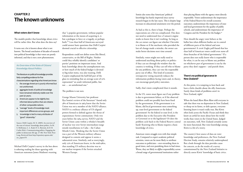Somin also notes that Americans' political knowledge has barely improved since survey research began in the late 1930s. This is despite large increases in educational attainment over the period.

As bad as this is, there is hope. Perhaps the expectations are a bit too complicated. One does not need to understand *how* a Camaro's engine works to know that it isn't working. So long as the car owner can figure out whether Chevrolet is to blame or if the mechanic who provided the last oil change made a mistake, the owner can make better decisions next time around.

Similarly, voters might not really need to understand anything about policy or politics if they can see through the window that the country is working. If they can tell who to blame for any problems, they can vote the responsible party out of office. This kind of economic retrospective voting massively reduces the information problem facing voters and, in theory, can encourage good policy outcomes.

than placing blame with the agency most directly responsible. Voters underestimate the importance of the Federal Reserve for overall economic outcomes; underestimate the importance of state and local government for the quality of public schools, and underestimate the importance of Congress and the President for the budget.<sup>18</sup>

Sadly, that's more complicated than it sounds.

In the US, voters must figure out if any problem is due to government failure, or if the observed problem could not possibly have been fixed by the government. If the government is to blame, did local government mess something up, state-level government or the federal government? At the federal or state level, is the problem due to the Executive (the President or Governor) or to the legislature? Or does the problem cycle back to the Federal Reserve central bank? Knowing who to blame requires a basic knowledge of civics.

American voters struggle even with that simple task. Compared to expert academic political scientists, voters are far more likely to attribute outcomes to politicians – over-rewarding them in good times, and over-punishing them in bad times. Worse, they are likely to *diffuse* responsibility across a broad range of governmental institutions rather

How should the angry voter behave at the ballot box when different bodies are in control of different parts of the federal and state governments? A 2006 Zogby poll found that less than half of American voters could even *name* all three branches of the federal government.<sup>19</sup> If a person does not really know who is responsible for what, it can be easy to blame any problem on whichever part of government is run by the party they don't support – and punish them.

#### **There's no political ignorance in New Zealand?**

At this point, it is tempting to lean back and have a little chuckle about the silly Americans. Surely those kinds of problems aren't in New Zealand, right?

When the band *Blam Blam Blam* told everyone in 1981 that there was no depression in New Zealand, or sheep on its farms, or dole queues, everyone listening knew it wasn't really true. But Kiwis often look across the Pacific Ocean and think they know an awful lot more about how the world works than voters in the United States. Judged on outcomes, well, New Zealand certainly seems far more functional. But voter knowledge among Kiwis is a bit of a worry.

The country's best source of data on voter knowledge and preferences, the New Zealand Election Study, remains relatively underexplored. But a look through the data provides cause for concern, as do the results of a survey commissioned by the New Zealand Initiative to directly assess Kiwis' knowledge of basic civics.

## **CHAPTER 2 The known unknowns**

#### **What voters don't know**

The models predict that knowledge about civics will be rather thin. But what does the data say?

It turns out a lot is known about what is not known. The broad conclusion of decades of research into political knowledge is that voters are poorly informed, and that is not a new phenomenon.

#### **An Overview of the State of Citizens' Knowledge About Politics**

The literature on political knowledge provides fairly compelling evidence for five characterisations regarding what Americans know:

- 1. the average American is poorly informed but not uninformed;
- 2. aggregate levels of political knowledge have remained relatively stable over the past 50 years;
- 3. Americans appear to be slightly less informed about politics than are citizens of other comparable nations;
- 4. "average" levels of knowledge mask important differences across groups; and
- 5. knowledge is tied to many attributes of "good" citizenship."

Source: Delli Carpini, M. X. (2005). An overview of the state of citizens' knowledge about politics. In M. S. McKinney, L. L. Kaid, D. G. Bystrom, & D. B. Carlin (Eds.), Communicating politics: Engaging the public in democratic life (pp. 27-40). New York: Peter Lang. Retrieved from http://repository.upenn.edu/ asc\_papers/53

Michael Delli Carpini's survey in the box above is sobering reading for those agreeing with American statesman James Madison's warning

that "a popular government, without popular information or the means of acquiring it, is but a prologue to farce or a tragedy, or perhaps both."16 Less than half of Americans surveyed could answer basic questions that Delli Carpini deemed crucial to effective citizenship.

Respondents could not define terms like liberal, conservative, or the Bill of Rights. Neither could they reliably identify candidates' or parties' positions on important issues. And basic knowledge about the unemployment rate, or how much of the federal budget is devoted to big-ticket items, was also wanting. Delli Carpini emphasised the half-full part of the glass in reminding that an average score of 50% represented "an *under*-informed public, but not … an uninformed one."

The problem is not new.

George Mason University law professor Ilya Somin's review of the literature<sup>17</sup> found only 38% of Americans in 1964 knew that the Soviet Union was *not* a member of the NATO alliance. NATO is a military alliance of US-aligned powers formed to defend against the threat of expansionary Soviet communism. Only two years before the 1964 survey, NATO and the Soviet Union came within a whisker's breadth of nuclear war over Soviet intermediate-range missile installations in Cuba – the Cuban Missile Crisis. Thinking that the Soviet Union was a *part* of the Western military alliance designed to contain and oppose it seems a substantial error. Similarly, and as worryingly, only 22% of Americans knew, in the mid-1980s, that standing US military doctrine was to use nuclear weapons if the Soviets attacked Western Europe.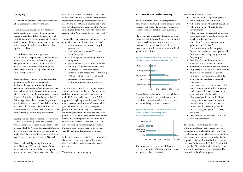#### **2020 New Zealand Initiative survey**

The New Zealand Initiative put together nine basic civics questions and commissioned a phone interview poll of 1000 Kiwis over two weeks in January, with four supplementary questions.

Many respondents considered themselves to be either very well informed (27%) or well informed (40%) in deciding how to vote in the 2020 election. A further 22% considered themselves somewhat informed, 6% not very informed and 4% not at all informed.

**Figure 1: How informed do you think you are in deciding how to vote in the next election?**



62% said they read newspapers, news websites or magazines daily. About 22% followed the news several times a week, 10% less than once a week and 6% said they never read the news.

**Figure 2: How often do you consume written political news such as newspapers, news, websites or magazines?**



The Initiative's survey then asked about the current composition of Parliament, basic civics and general political knowledge.

The full data is reproduced below, but some of the highlights are worth teasing out. For instance, a worryingly high number of people (29%) could not accurately name the five political parties present in Parliament. Less than half of respondents (46%) identified both ways parties can enter Parliament under MMP. To put this in perspective, New Zealand's first MMP election was held in 1996 and the 2020 election will be the ninth held under that system.

The full set of questions were:

- Can you name all the political parties in the current New Zealand Parliament?
- Who is the current Minister of Education?
- Who is the current Minister for the Environment?
- Which parties in the current New Zealand Parliament voted for the Zero Carbon Bill which passed in late 2019?
- Under MMP, in what ways can parties gain a seat in Parliament?
- Some people say that the best people from all parties should come together and form a permanent, all-party government. Do you agree?
- Does New Zealand have a military alliance with the United Kingdom?
- Which countries form the Five Eyes Alliance?
- In applying the law, do New Zealand courts have to take into account the political intentions of the Government of the day?
- Can you name the three branches of government?
- Some countries have a strong leader who doesn't have to bother with a Parliament or elections. Is this model a very good, good, bad or very bad model?
- How would you feel about the idea of having experts, not elected politicians, make decisions according to what they think is best for the country? Would this be a very good, good, bad or very bad model?
- Do you think that democracy is the best form of Government?

knew the Party vote determines the composition of Parliament and that the political party with the most votes is likely to get the most seats under MMP.21 And a 2008 Colmar-Brunton poll found only 30% of respondents understood MMP's dualentry threshold into Parliament while barely half recognised the Party Vote as the more important.<sup>22</sup>

The 2008 Election Survey provided a greater range of questions but also displayed dismal results:<sup>23</sup>

#### **Survey says?**

So, how much of what Kiwi voters *should* know about democracy do they really know?

The New Zealand Election Survey (NZES) is the country's most comprehensive regular survey of voter knowledge. The 2017 survey of 3455 Kiwis showed clear deficiencies in the basic understanding of civics. Unfortunately, it did not ask many questions that can be benchmarked against a textbook.

About five respondents in eight correctly recognised that the party vote is more important than the electorate vote in determining the composition of Parliament. About 25% viewed both as equally important, 10% thought the electorate vote was more important and just over 5% did not know.

It can be difficult to punish or reward incumbent political parties for their performance if an individual does not know who the MPs are. According to the survey, 20% of respondents could not recall which parties formed the Government after the 2014 election (the answer was the National Party, the Māori Party, United Future and ACT). Worryingly, 28% said the National Party was not involved while 7% thought Labour helped to form it.20 One in four knew that both ACT and the Maori Party helped to form the Government while over half thought neither party was involved.

Ideology can be a shortcut heuristic for voters who do not follow parties' policies closely. Yet only 71% of respondents correctly placed Labour to the political left of the National Party. About 18% could not place one or both parties on the axis at all, just under 7% said the parties' ideologies were identical and 4% placed Labour to the right of National.

- 84% knew that Labour was in the prior government;
- 81% knew that the term of Parliament is not four years;
- 68% recognised that enrolling to vote is compulsory;
- 55% could identify the correct thresholds for entry into Parliament under MMP;
- 53% thought the Party Vote is most important in the composition of Parliament;
- 36% agreed that Treasury is not mainly responsible for interest rates;
- 28% knew that non-citizens can vote.

Poor civics knowledge among Kiwis is not new. The 2005 NZES showed almost a fifth of respondents did not know Labour was a part of the prior Labour-led Government. Also, about half The results are not encouraging.

The same survey showed 27% of respondents who support a return to First Past the Post also prefer coalition Governments – which are less likely under FPP. On the other hand, 27% of MMP supporters thought a party with 40% of the vote should receive more than 40% of the seats while 37% said New Zealand has too many political parties. And it seems unlikely that they were considering the minor difference between overall party vote share and the share of seats caused when some parties receive party list votes but no seats in Parliament. Preferences between MMP and First Past the Post are neither right nor wrong. But many people seemed happy with a system very different from their claimed preferences.

Unfortunately, the 2017 NZES had few questions about basic civics knowledge, which is why the New Zealand Initiative commissioned its own survey.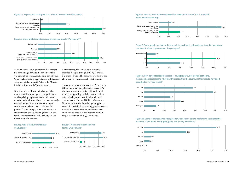Some Ministers always get more of the limelight but connecting a name to the correct portfolio was difficult for some. About a third correctly said Chris Hipkins is the present Minister of Education while only 5% knew David Parker is the Minister for the Environment (46% were unsure).



Knowing who is Minister of what portfolio may be useful in a pub quiz. If the policy area winds up being important, and a citizen wants to write to the Minister about it, names are easily searched online. But it can matter in overall assessments of who to credit, or blame, for policy. If voters strongly support or oppose an environmental policy, knowing if the Minister for the Environment is a Labour Party MP or Green Party MP matters.

#### **Figure 3: Can you name all the political parties in the current NZ Parliament?**

**Figure 9: How do you feel about the idea of having experts, not elected politicians, make decisions according to what they think is best for the country? Is this model a very good, good, bad or very bad model?**



**Figure 10: Some countries have a strong leader who doesn't have to bother with a parliament or elections. Is this model a very good, good, bad or very bad model?**



#### **Figure 8: Some people say that the best people from all parties should come together and form a permanent, all-party government. Do you agree?**



#### **Figure 5: Who is the current Minister of Education?**



Unfortunately, the Initiative's survey only recorded if respondents gave the right answer. Next time, it will add a follow-up question to ask about the party affiliation of each Minister.

The current Government made the Zero Carbon Bill an important part of its policy agenda. At the close of 2019, the National Party decided to join in supporting the Bill. However, when asked which parties voted for that bill, only 22% pointed to Labour, NZ First, Greens, and National. If National hoped to gain support by voting for the Bill, the survey suggests few voters noticed. Come the election, some voters may either punish or reward the National Party if they incorrectly think it *opposed* the Bill.





#### **Figure 7: Which parties in the current NZ Parliament voted for the Zero Carbon Bill which passed in late 2019?**

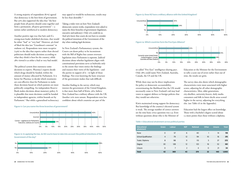so-called "Five Eyes" intelligence-sharing pact. Only 28% could name New Zealand, Australia, Canada, the US and the UK.

While there may not be direct implications for policy or democratic accountability, overestimating the likelihood that the UK would necessarily come to New Zealand's aid may lead voters to support defence or foreign policies that they would not otherwise.

Kiwis maintained strong support for democracy. But knowledge of the country's electoral system is weak. The average number of correct answers on the nine basic civics questions was 2.9. Even without questions about who is the Minister of

Education or the Minister for the Environment to tally a score out of seven rather than out of nine, the results are grim.

The survey data also shows which demographic characteristics were most associated with higher scores, adjusting for all other demographic characteristics. Men, older generations, city-dwellers, university-leavers, daily media consumers and folk in lower decile areas scored higher in the survey, adjusting for everything else. (see Table 1A in the Appendix).

The political system does outsource some decisions to experts. Pharmac's experts decide which drugs should be funded, within the amount of money allocated by Parliament. It is better for Pharmac to decide which treatments are cost-effective than for Parliament to make those decisions based on which patients are most politically compelling. An independent Reserve Bank makes decisions about monetary policy. It is plausible that more decisions could be handed to independent agencies, within bounds set by Parliament.<sup>25</sup> But while a generalised technocracy

> Education had the largest effect on knowledge. Those with a bachelor's degree scored about 1.5 more points than those without a diploma.

may appeal to would-be technocrats, results may be less than desirable.<sup>26</sup>

A strong majority of respondents (87%) agreed that democracy is the best form of government. But 30% also supported the idea that "the best people from all parties should come together and form a permanent, all-party government" – a notion rather antithetical to modern democracy.

Another positive sign was that 84% said if a strong-man leader abolished elections, that would be either "bad" or "very bad." However, 4% kind of liked the idea (see "Lizardman's constant" in endnote 20). Respondents were more receptive (24%) to the idea that experts rather than elected politicians should make decisions according to what they think is best for the country, while 58% viewed it as either a bad or very bad model.

Taking a wider view on how New Zealand's democratic system works, respondents were asked to name the three branches of government (legislature, executive and judiciary). Only 12% could do so. And 59% knew that courts do not have to consider the political intentions of the Government of the day when making legal decisions.

In New Zealand's Parliamentary system, the Courts can deem policy to be inconsistent with the Bill of Rights but cannot overturn legislation since Parliament is supreme. Judicial decisions about whether legislation aligns with constitutional provisions serve as bulwarks only to the extent that voters notice the findings and reassess their views of the legislation – and the parties in support of  $it - in$  light of those findings. Not even knowing the basic structure of the government makes that task difficult.

Another finding in the survey, which may interest the government of the United Kingdom, is that more than half of Kiwis, 56%, believe New Zealand has a military alliance with the UK. Another 20% were unsure. Respondents were less confident about which countries are part of the

#### **Table 1: Educational attainment across political parties**

| <b>Educational</b><br><b>attainment</b> | <b>Green</b>   | <b>Labour</b> | <b>NZF</b> | <b>National</b> | <b>Other</b> | <b>Unsure</b> | <b>Total</b> |
|-----------------------------------------|----------------|---------------|------------|-----------------|--------------|---------------|--------------|
| None                                    | $\mathbf 0$    | 57            | 6          | 40              | 1            | 14            | 118          |
| <b>School Qualification</b>             | $\overline{4}$ | 79            | 12         | 94              | 10           | 16            | 215          |
| Trade / Diploma                         | 8              | 98            | 11         | 113             | 5            | 37            | 272          |
| Degree                                  | 30             | 128           | 12         | 123             | 16           | 52            | 361          |
| Unsure                                  | $\mathbf 0$    | 7             | 2          | $\overline{4}$  | $\Omega$     | 21            | 34           |
| <b>Total</b>                            | 42             | 369           | 43         | 374             | 32           | 140           | 1,000        |

#### **Figure 11: Can you name the three branches of government?**



**Figure 12: In applying the law, do NZ courts have to take into account the political intentions of the Government of the day?**







**Figure 13: Does NZ have a military alliance with the United Kingdom?**

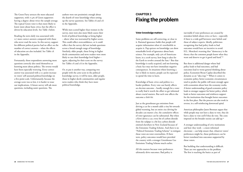## **CHAPTER 3 Fixing the problem**

#### **Voter knowledge matters**

Some problems are self-correcting, or close to it. Rational ignorance holds that people will acquire information when it's worthwhile to acquire it. Pop quizzes on knowledge can show remarkable levels of ignorance about basic science. For example, only 53% of Americans knew, in a 2008 survey, how long it takes for the Earth to revolve around the Sun.<sup>27</sup> But that knowledge is easily acquired, and not knowing a basic fact may not have immediate negative consequences. In situations where knowing a fact is likely to matter, people can be expected to spend the time to learn.

Knowledge of basic civics and politics is a harder problem. Every vote cast barely affects an election outcome – hardly enough for a voter to really find it worth the effort to get informed about crucial matters. But each vote affects the outcome *a little bit*.

inevitable if voter preferences are created by mistaken beliefs about civics or facts – especially if there is a wide gulf between voter beliefs and those of subject experts. Ideally, politicians recognising that bad policy leads to bad outcomes would have an incentive to avoid H.L. Mencken's warning that "democracy is the theory that the common people know what they want and deserve to get it good and hard."<sup>28</sup>

Just as the greenhouse gas emissions from driving a car for a month adds a tiny bit towards global warming, but an entire city driving for decades can matter a lot, the cumulative effects of voter ignorance can be substantial. But when a Kiwi drives a car, every bit of carbon dioxide from the tailpipe is a bit less carbon dioxide emitted elsewhere in New Zealand because of the Emissions Trading Scheme. And there is no "Political Emissions Trading Scheme" to mitigate those voter-on-voter externalities. If there were, policy outcomes would have provided the country with a stronger Greenhouse Gas Emissions Trading Scheme much earlier.

American philosopher Jason Brennan argues that while people may not have a duty to vote, they do have a duty to vote *well* if they do vote. The costs imposed on the broader society can add up.<sup>30</sup>

All this matters because voter preferences ultimately drive outcomes. Bad policy is

While men scored higher than women in the survey, men were also more likely assess their levels of political knowledge as being higher – above what was warranted by higher scores. This could reflect overconfidence, or it could reflect that the survey did not include questions across a broad enough range of knowledge. Similarly, older people, those living in higher decile communities and news readers were more likely to rate their knowledge level higher – again, adjusting for their score on the survey. See Tables 1A and 2A in the Appendix.

But there is additional danger where bad policy leads to bad outcomes, and bad outcomes lead to worse general thinking about policy. Economist Bryan Caplan described this dynamic as an "idea trap."29 When it comes to economic policy, better economic circumstances tend to predict the public will more strongly agree with economists about how the economy works. A better understanding of good economic policy leads to stronger support for better policy, which leads to better outcomes and reinforces support for the institutions that brought better outcomes in the first place. But the process can also work in reverse, in a self-reinforcing downward spiral.

A stronger understanding of civic institutions and how they work – a more informed electorate – can help ensure that, whatever voters' preferences might be, those preferences can be better translated into outcomes supported by those voters.

But building that understanding is difficult. There are two approaches to the problem. The first is teaching the basics as part of

The Green Party attracts the most educated supporters, with 71.4% of Green supporters having a degree: about twice the sample average. The typical Green voter is then more likely to know more about basic civics, but the effect is driven by education levels. See Table 1 below.

Reading the news daily was associated with 0.7 more correct answers compared with those who never read the news. In this survey, support for different political parties had no effect on the number of correct answers – when the effects of education are also included. See Table 1A in the Appendix.

Fortunately, those respondents answering more questions correctly also rated themselves as knowing more about politics. The reverse would have been especially worrying. Every correct answer was associated with a 0.1 point increase in voters' self-assessed political knowledge on a five-point scale. Unfortunately, because the average score was so low, it is harder to tease out implications. A future survey will ask more questions, including easier questions. The

authors were not pessimistic enough about the dearth of voter knowledge when setting up the survey questions. See Tables 1A and 2A in the Appendix.

Or, to put it another way, comparing two people with the *same* score in the political knowledge survey, it will be men, older people, those in higher decile communities and regular news readers who think they have more political knowledge.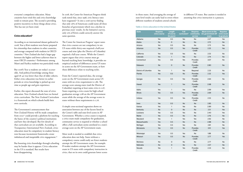in those states. And averaging the average of state-level results can easily lead to errors where different numbers of students attend schools

in different US states. But caution is needed in assuming that civics instruction is a panacea.

#### **Table 2: Civics education in the United States**

| <b>State</b>         | <b>Requires</b><br>civics course | <b>Length</b><br>of course | Full<br>curriculum* | <b>Requires</b><br>community | <b>Mean score on the</b><br><b>US. government AP</b> | <b>Requires</b><br>civics exam |
|----------------------|----------------------------------|----------------------------|---------------------|------------------------------|------------------------------------------------------|--------------------------------|
|                      |                                  | (In years)                 |                     | service                      | exam                                                 | to graduate                    |
| Alabama              | Yes                              | 0.5                        | Yes                 | No                           | 2.27                                                 | Yes                            |
| Alaska               | <b>No</b>                        | $\mathsf{O}\xspace$        | <b>No</b>           | No                           | 2.72                                                 | <b>No</b>                      |
| Arizona              | Yes                              | 0.5                        | Yes                 | No                           | 2.73                                                 | Yes                            |
| Arkansas             | Yes                              | 0.5                        | Yes                 | Provides<br>Credit           | 2.25                                                 | Yes                            |
| California           | Yes                              | 0.5                        | Yes                 | No                           | 2.53                                                 | No                             |
| Colorado             | Yes                              | $\mathbf{1}$               | Yes                 | No                           | 2.74                                                 | No                             |
| Connecticut          | Yes                              | 0.5                        | Yes                 | Provides<br>Credit           | 3.07                                                 | No                             |
| Delaware             | No                               | $\mathsf{O}\xspace$        | No                  | Provides<br>Credit           | 2.80                                                 | No                             |
| District of Columbia | Yes                              | $\mathbf{1}$               | Yes                 | Required                     | 2.33                                                 | No                             |
| Florida              | Yes                              | 0.5                        | No                  | Provides<br>Credit           | 2.32                                                 | Yes                            |
| Georgia              | Yes                              | 0.5                        | Yes                 | Provides<br>Credit           | 2.64                                                 | No                             |
| Hawaii               | Yes                              | 1                          | Yes                 | Provides<br>Credit           | 2.68                                                 | <b>No</b>                      |
| Idaho                | Yes                              | $\mathbf{1}$               | Yes                 | No                           | 2.99                                                 | Yes                            |
| Illinois             | Yes                              | 0.5                        | Yes                 | Provides<br>Credit           | 2.69                                                 | No                             |
| Indiana              | Yes                              | 0.5                        | Yes                 | Provides<br>Credit           | 2.53                                                 | No                             |
| lowa                 | Yes                              | 0.5                        | No                  | No                           | 2.85                                                 | No                             |
| Kansas               | Yes                              | 1                          | Yes                 | No                           | 2.89                                                 | No                             |
| Kentucky             | <b>No</b>                        | $\mathsf{O}$               | No                  | No                           | 2.51                                                 | Yes                            |
| Louisiana            | Yes                              | 0.5                        | Yes                 | No                           | 2.40                                                 | Yes                            |
| Maine                | Yes                              | 0.5                        | No                  | No                           | 2.76                                                 | <b>No</b>                      |
| Maryland             | Yes                              | $\mathbf{1}$               | Yes                 | Yes                          | 2.92                                                 | No                             |
| Massachusetts        | Yes                              | 0.5                        | No                  | No                           | 2.88                                                 | No                             |
| Michigan             | Yes                              | 0.5                        | Yes                 | No                           | 2.81                                                 | No                             |
| Minnesota            | Yes                              | 0.5                        | No                  | Provides<br>Credit           | 3.10                                                 | Yes                            |
| Mississippi          | Yes                              | 0.5                        | Yes                 | $\operatorname{\mathsf{No}}$ | 1.88                                                 | No                             |
| Missouri             | Yes                              | 0.5                        | No                  | Provides<br>Credit           | 2.77                                                 | Yes                            |
| Montana              | No                               | $\mathsf O$                | No                  | No                           | 2.77                                                 | No                             |
| Nebraska             | No                               | $\mathsf{O}\xspace$        | No                  | No                           | 2.57                                                 | No                             |
| Nevada               | Yes                              | 1                          | Yes                 | Provides<br>Credit           | 2.33                                                 | No                             |

The Government's announcement that New Zealand History will be made compulsory from 2022<sup>33</sup> could provide a platform for teaching the basics of the country's political institutions and how they developed. But few details of that curriculum are yet available. According to Transparency International New Zealand, civics education must be compulsory in student literacy tests because inconsistent frameworks create imbalanced and inequitable civic engagement.<sup>34</sup>

everyone's compulsory education. Many countries have tried this and civics knowledge tends to remain poor. The second is providing positive incentives to *know* things about civics. This has not yet been tried.

#### **Civics education?**

According to an international dataset gathered in 2008, Year 9 Kiwi students were better prepared for citizenship than students in other countries, and average compared with students in OECD countries.31 New Zealand also had a larger gap between the higher and lower achievers than in most OECD countries.<sup>32</sup> Performance among Maori and Pacifica students was particularly weak.

But 2008's Year 9 students are today's 25-yearolds. And political knowledge among those aged 18–40 was lower than that of older cohorts. Either civics education was better in earlier periods or civics knowledge is picked up over time as people age and gain experience.

Earlier, this report discussed the state of civics education. New Zealand schools have no formal civics curriculum. The New Zealand Curriculum is a framework on which schools build their own curricula.

But boosting civics knowledge through schooling may be harder than it appears. Civics education in the US is standard. But results have been disappointing.

In 2018, the Center for American Progress think tank noted that, since 1998, civic literacy rates have stagnated.<sup>35</sup> It cites a 2016 survey finding that only 26% of Americans could name all three branches of government which was a decline in previous years' results. In the Initiative's survey, only 12% of Kiwis could correctly answer the same question.

The Center for American Progress' report notes that civics courses are not compulsory in ten US states while thirty-one required a half-year course and nine (plus the District of Columbia) required a full-year course. While the Center's report argues that civics courses must go beyond teaching basic knowledge, it provides no empirical analysis of differences across US states in scores on the AP Government exam, or how those differences relate to teaching styles.

From the Center's reported data, the average score on the AP Government exam across US states with no civics requirement is 2.86. The average score among states (and the District of Columbia) requiring at least some civics is 2.67. States requiring a civics exam for high school graduation average 2.68 on the AP Government exam while the average of the average scores in states without those requirements is 2.76.

A simple cross-sectional regression shows no association between any of the factors listed in the Center's table and state-level scores in AP Government. Whether a civics course is required, a civics exam made compulsory for graduation, community service is required or whether a school offers a full curriculum seems unrelated to a state's average score on the AP Government exam.

More work is needed to establish that civics education does not help. States without a compulsory course could easily see fewer students attempt the AP Government exam, for example. If weaker students attempt the AP Government exam in US states with compulsory instruction in civics, that on its own could generate lower scores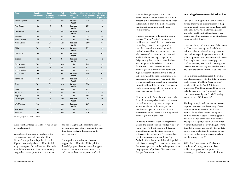If a civics curriculum is desired, the Brown Center's "Proven Practices" framework could be a good start.<sup>38</sup> But every additional compulsory course has an opportunity cost: the course that is pushed out of the student's timetable to make room. And the effectiveness of civics instruction is less well established than one might hope. A 2011 Belgian study found politics classes had no effect on political knowledge, accounting for a student's initial levels of political knowledge.39 And, as Ilya Somin points out, huge increases in education levels in the US last century, and the substantial increases in exposure to civics training, were not tied to greater political knowledge. Somin notes that the political knowledge of university graduates in the 1990s are comparable to those of high school graduates of the 1940s.<sup>40</sup>

liberties during that period. One could despair about the result or take heart in it: if a concern is that civics instruction could create indoctrination, then it should be reassuring that the instruction does not change a student's views.

Closer to home in Australia, while its schools do not have a comprehensive civics education curriculum since 2014, they are taught as an integrated module for Years 3–6 and a standalone subject to Years 7–10. The 2001 reforms were called "herculean,"41 but political knowledge is not much better.

Thinking through the likelihood of an event requires a reasonable understanding of civic institutions, current events and the basic political fabric. If the current trading price on New Zealand First's vote share suggests it will receive 5.25% of the vote, but a contract paying \$1 if the party's leader Winston Peters re-enters Parliament is only trading at \$0.3175, does that mean one can profit by buying Peters contracts, or by shorting the contract on the vote share, or that both prices are somehow simultaneously correct?45

Australia's National Assessment Programme assesses the level of civics knowledge every four years.42 In 2017, then-Minister of Education Simon Birmingham described the state of civics education as "woeful."43 The Australian Curriculum's Assessment and Reporting Authority (ACARA) showed that while proficient civic literacy among Year 6 students increased by five percentage points in the twelve years to 2016, the proportion of proficient Year 10 students dropped from 39% to 38%.44

#### **Improving the returns to civic education**

For a brief shining period in New Zealand's history, there was an excellent reason to keep informed about politics and policy. From 2008 until 2016, Kiwis who understood politics and policy could put that knowledge to use buying and selling contracts on a political stock exchange called iPredict.

It was a niche operation and most of the traders on iPredict were among the already betterinformed. iPredict allowed trading in contracts that paid out depending on whether specific political, policy or economic outcomes happened. For example, one contract would pay out at \$1 if the unemployment rate for the 2015 June Quarter was between 5.75–6%; another would pay out if the rate is between 5.5–6%, and so on.

the Bill of Rights had a short-term increase in their knowledge of civil liberties. But that knowledge gradually dissipated over the next two years.<sup>37</sup>

Prices in those markets reflected the traders' overall assessments of whether different things might happen. Would Sir Roger Douglas' members' bill on the Youth Minimum Wage pass? Would New Zealand First return to Parliament in the 2008 or 2011 election? How many seats might ACT win? How big would the next OCR move be?

While few Kiwis traded on iPredict, the possibility of trading and the market's public prices, potentially improved civic knowledge. News broadcasts would feature

| <b>State</b>      | <b>Requires</b><br>civics course | <b>Length</b><br>of course<br>(In years) | Full<br>curriculum* | <b>Requires</b><br>community<br>service | <b>Mean score on the</b><br><b>US. government AP</b><br>exam | <b>Requires</b><br>civics exam<br>to graduate |
|-------------------|----------------------------------|------------------------------------------|---------------------|-----------------------------------------|--------------------------------------------------------------|-----------------------------------------------|
| New Hampshire     | Yes                              | 0.5                                      | Yes                 | <b>Provides</b><br>Credit               | 3.14                                                         | Yes                                           |
| New Jersey        | <b>No</b>                        | $\mathbf 0$                              | No                  | Provides<br>Credit                      | 3.09                                                         | <b>No</b>                                     |
| <b>New Mexico</b> | Yes                              | 0.5                                      | No                  | Provides<br>Credit                      | 1.96                                                         | <b>No</b>                                     |
| <b>New York</b>   | Yes                              | 0.5                                      | No                  | No                                      | 2.74                                                         | <b>No</b>                                     |
| North Carolina    | Yes                              | $\mathbf{1}$                             | No                  | <b>No</b>                               | 2.68                                                         | <b>No</b>                                     |
| North Dakota      | Yes                              | 0.5                                      | Yes                 | Provides<br>Credit                      | 2.80                                                         | Yes                                           |
| Ohio              | Yes                              | 0.5                                      | Yes                 | Provides<br>Credit                      | 2.79                                                         | <b>No</b>                                     |
| Oklahoma          | Yes                              | 0.5                                      | Yes                 | Provides<br>Credit                      | 2.57                                                         | No                                            |
| Oregon            | <b>No</b>                        | $\mathbf 0$                              | No                  | Provides<br>Credit                      | 2.77                                                         | <b>No</b>                                     |
| Pennsylvania      | Yes                              | 0.5                                      | Yes                 | <b>No</b>                               | 2.87                                                         | No                                            |
| Rohde Island      | <b>No</b>                        | $\overline{O}$                           | No                  | <b>No</b>                               | 2.99                                                         | No                                            |
| South Carolina    | Yes                              | 0.5                                      | Yes                 | <b>No</b>                               | 2.87                                                         | Yes                                           |
| South Dakota      | Yes                              | 0.5                                      | Yes                 | Provides<br>Credit                      | 2.96                                                         | No                                            |
| Tennessee         | Yes                              | 0.5                                      | Yes                 | Provides<br>Credit                      | 2.65                                                         | Yes                                           |
| Texas             | Yes                              | 0.5                                      | Yes                 | Provides<br>Credit                      | 2.20                                                         | No                                            |
| Utah              | Yes                              | 0.5                                      | Yes                 | <b>No</b>                               | 2.99                                                         | Yes                                           |
| Vermont           | <b>No</b>                        | 0                                        | <b>No</b>           | <b>No</b>                               | 3.41                                                         | Yes                                           |
| Virginia          | Yes                              | $\mathbf{1}$                             | <b>No</b>           | <b>No</b>                               | 3.03                                                         | <b>No</b>                                     |
| Washington        | <b>No</b>                        | $\mathbf 0$                              | Yes                 | Provides<br>Credit                      | 2.94                                                         | No                                            |
| West Virginia     | Yes                              | $\mathbf{1}$                             | Yes                 | Provides<br>Credit                      | 2.30                                                         | No                                            |
| Wisconsin         | Yes                              | 0.5                                      | <b>No</b>           | <b>No</b>                               | 2.95                                                         | Yes                                           |
| Wyoming           | Yes                              | 0.5                                      | Yes                 | No                                      | 2.74                                                         | Yes                                           |

Source: (Shapiro & Brown, 2018)<sup>36</sup>

Does civic knowledge erode after it was taught in the classroom?

A 2008 experiment gave high school civics students more material about the Bill of Rights. The experiment hoped to determine if greater knowledge about civil liberties led to greater support for civil liberties. The study found that students in classrooms randomly assigned to receive greater instruction about

The experiment also had no effect on support for civil liberties. While political knowledge generally correlates with support for civil liberties, the intervention did not affect views about the importance of civil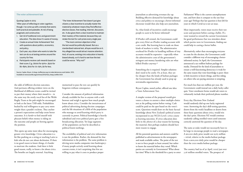journalism as advertising revenues dry up. Building effective demand for knowledge about civics and politics to encourage a better-informed electorate would then also help save journalism.

So, what kinds of incentives could encourage people to *want* to be better informed?

If iPredict still existed, the Government could give every Kiwi an iPredict trading account with a \$10 credit. But learning how to trade on those kinds of markets is tricky. The administrative overhead for iPredict in handling millions of tiny accounts would be expensive – especially when the administrative costs of the government's stringent anti-money laundering rules are what killed iPredict anyway.46

Something else is required. Simpler solutions don't need to be costly. Or, at least, they are far cheaper than the kinds of bailout packages the Government has already used to prop up newsmedia organisations.

Bryan Caplan, noted earlier, offered one idea: a Voter Achievement Test.

A simpler version of the proposal would give voters a chance to answer a short multiple-choice test at the polling station before voting. Cash could be paid on the spot based on the voter's score. Questions would draw on the basic factual knowledge about New Zealand's political system incorporated in any NCEA Level 1 civics course as learning outcomes. If civics education does little in the *absence* of a clear reason for learning the material, then perhaps students should have more reason to engage.

All the potential questions and answers could be published as advertisements in the newspapers and made available online. The point of the test is not to force people to hunt around, but rather to know the material before they voted. Which parties are currently in Government? What about last time? What is the threshold for a party to enter Parliament? What is the current unemployment rate, and how does it compare to the rate four years ago? Perhaps that last question is best left for years in which Covid-19 is not an issue.

Most importantly, voters must receive their test score and payment before casting a ballot. If a voter wanted to reward the current Government for good performance but was mistaken about which parties were in Government, finding out could help in casting a better ballot.

Alternatively, rather than encouraging everyone to cram for the election, the Government could consider a different way of encouraging a betterinformed society. In April, the Government announced a \$50 million bailout package for media. Demand for the kind of journalism to ensure a well-functioning democracy is weak for the same reason that voter knowledge is poor: there is little incentive to know things, and free-riding on others who are paying attention is tempting.

For much less than \$50 million per year, the Government could instead run a daily lucky-caller quiz. Voter enrolment forms would ask voters to voluntarily include their preferred phone number.

Every day, Elections New Zealand would randomly dial-up one lucky registered voter. Answering the day's skill-testing question, drawn from the week's headlines or drawn from those basic questions about civics, would win the day's prize. Elections NZ would continue randomly calling enrolled voters until someone correctly answered the question of the day.

The sums at stake would not necessarily have to be large to encourage people to read a newspaper. A \$10,000 daily prize would cost \$3.65 million – trivial, relative to the media bailout package. Even a \$100,000 daily prize would be cheaper than the 2020 media bailout package.

The country had (as of 30 April, 2020) just over 3.26 million enrolled voters. The prospect of

the odds of different election outcomes. And partisans offering strident views on the likelihood of different events could be invited to put their money where their mouth is – in the same way the overly vocal fan of the Welsh Rugby Team at the pub might be encouraged to look at the latest TAB odds. Probabilities backed by real willingness to pay carry more weight than a pundit's reckons. They anchor a person's expectations and help create better outcomes. It is *harder* to fool oneself with pleasant beliefs when money is riding on the outcome and people are betting against the position.

This opens up some more ideas for encouraging greater civic knowledge. Civics education is a bit like pushing on a string or teaching Latin to kids who do not care about declension. If there is no good *reason* to know things, it's harder to motivate the students. And there is little good reason, really, to know a lot about civics. The benefits are largely external. Anything

memorised to pass the test can quickly be forgotten without consequence.

Consider the amount of political information already available for free to anyone with a web browser and weigh it against how much people know about civics. Consider the intrusiveness of political advertising during election campaigns and the life situations of a fifth of the population who manage to *avoid* learning which party is currently in power. Political knowledge is heavily subsidised and every political party gets a free broadcasting allocation. Yet large segments of the population can best be described as political know-nothings.

The availability of political and civic information is not the problem. Rather, the demand for that information is the problem. The same problem is driving news media companies into bankruptcy: if many people actively avoid learning about current events, it isn't surprising that few are willing to pay what it costs to produce proper

#### **The voter achievement test**

#### Quoting Caplan in 2013:

"After years of reflecting on voter cognition, though, I've come up with a remedy that seems both practical and palatable. At risk of being pragmatic and constructive:

- 1. Get rid of traditional civics and government education. The data show it's waste of money;
- 2. Create an annual Voter Achievement Test with questions about politics, economics, and policy;
- 3. Each year, any citizen who wants to take the test can do so at testing centres around the country for free;
- 4. Participants receive cash rewards based on their score. E.g.: \$1000 for 90%+, \$500 for 80–89%, \$100 for 70–79%, \$0 for less.

"The Voter Achievement Test doesn't just give citizens a clear incentive to actually master the material by whatever means they find effective – elective classes, free reading, Internet, discussion, etc. It also gives them a clear incentive to maintain their mastery of the material, because they can retake the test for cash prizes every single year.

"The most common objection is that the test would be politically biased. But as a standardised national test, all eyes would be on it. Any alleged bias would attract massive attention. And, of course, existing civics education is heavily biased already, so it's hard to see how the test could be worse. "Why not?"

Source: Caplan, Bryan. A cheap, inoffensive way to make democracy work better. 2013. Available at www.econlib.org/archives/2013/10/a\_cheap\_inoffen.html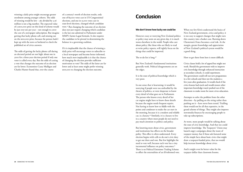## **Conclusion**

#### **We don't know how lucky we could be**

However crazy or worrying New Zealand politics or policy may seem on any given day, it is much worse elsewhere in the world. People who care about policy, like those who are likely to read or write policy reports, will rightly focus on the things that could be improved.

The to-do list is long.<sup>48</sup>

But New Zealand's fundamental institutions generally work. Political disagreements are on the edges.

It is the state of political knowledge which is very poor.

In one sense that is heartening: it would be worrying if people were too enthralled by the theatre of politics, or were desperate to know every detail of what goes on in Parliament. The person who knows every detail of her car engine might have to know those details because the engine needs frequent repairs. Not having to know how to fiddle with the points and condenser to make the car start in the morning, because it is a modern and reliable car, is a luxury.49 Similarly, it is a luxury to live in a country where most people do not need to pay much attention to politics and policy.

But knowing more about civics, government and institutions has effects on the broader polity. This effect is often understated. Every election begins with calls to do one's civic duty to get out there and vote. But few highlight the need to vote well, because each vote has a tiny incremental influence on policy outcomes.<sup>50</sup> There is no Political Emissions Trading Scheme to offset the externalities of an ill-informed vote.

When too few Kiwis understand the basics of New Zealand government, civics and policy, it is too easy to support changes that might turn this country into a basket case. Burning down Chesterton's Fence becomes a real risk. At the margin, greater knowledge and appreciation of New Zealand's political system would be a good thing.

How to get there from here is more difficult.

Civics classes hold a lot of appeal but might not work. Should the government wish to improve civic knowledge through enhanced instruction at secondary schools, it could experiment. The government could roll out new programmes in a few schools and then test the students a few years after graduation. It would check if the civics lessons had stuck and would ensure other important knowledge wasn't pushed out of the classroom to make room for more civics education.

Attempts to solve the problem from the other direction – by pulling on the string rather than pushing on it – have never been tested. Trialling them would not be all that expensive, in the grand scheme of things. They might also improve newsmedia finances by encouraging people to take up subscriptions.

At worst, more people would be talking about the state of civic knowledge. And that too could improve knowledge. The Taxpayers' Union may launch angry campaigns about the waste of taxpayer money, but if those ads featured some of the simple facts about basic civics that might draw a taxpayer-funded prize, that too would help increase knowledge about civics.

And it might even be better value for the taxpayer dollar than classroom lessons.

winning a daily prize might encourage greater enrolment among younger cohorts. The odds of winning would be low – 365 divided by 3.26 million is not a big number. The expected value of a \$100,000 prize on this kind of scheme would be just over \$10 per year – not enough to cover the cost of a newspaper subscription. But imagine getting that lucky phone call, and missing out on the \$100,000 prize, because the person *hadn't* kept up with the news or bothered to check the published set of civics answers.

The odds of getting the lucky phone call during an electoral period are not high: about one in 3000 for a three-year election period if only one voter is called every day. But the odds of casting a vote that changes the outcome of an election are far lower. Economists Casey Mulligan and Charles Hunter found that, over the course

of a century's worth of election results, only one of 89,000 votes cast in US Congressional elections, and one in 15,000 votes cast in state-level elections, changed which candidate won.47 But changing the outcome of an election does not just require changing which candidate is the last one admitted to Parliament under MMP's Sainte-Laguë formula. It also requires the candidate to be pivotal in determining the balance in a governing coalition.

If it is implausible that the chance of winning a daily prize will encourage voters to subscribe to a local newspaper and become better informed, how much *more* implausible is it that the chance of changing the election provides sufficient motivation to vote? The odds of the latter are far lower and at least some might prefer winning \$100,000 to changing the election outcome.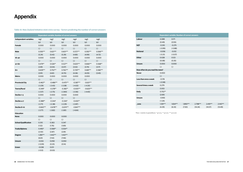|                                 |            |           | Dependent variable: Number of correct answers |          |          |          |
|---------------------------------|------------|-----------|-----------------------------------------------|----------|----------|----------|
| Labour                          | 0.089      | 0.171     |                                               |          |          |          |
|                                 | (0.49)     | (0.93)    |                                               |          |          |          |
| <b>NZF</b>                      | $-0.310$   | $-0.275$  |                                               |          |          |          |
|                                 | $(-0.99)$  | $(-0.88)$ |                                               |          |          |          |
| <b>National</b>                 | $-0.056$   | $-0.012$  |                                               |          |          |          |
|                                 |            |           |                                               |          |          |          |
|                                 | $(-0.31)$  | $(-0.07)$ |                                               |          |          |          |
| <b>Other</b>                    | 0.028      | 0.123     |                                               |          |          |          |
|                                 | (0.08)     | (0.35)    |                                               |          |          |          |
| <b>Unsure</b>                   | 0.000      | 0.000     |                                               |          |          |          |
|                                 | (.)        | (.)       |                                               |          |          |          |
| How often do you read the news? |            |           |                                               |          |          |          |
| <b>Never</b>                    | 0.000      |           |                                               |          |          |          |
|                                 | (.)        |           |                                               |          |          |          |
| Less than once a week           | $-0.178$   |           |                                               |          |          |          |
|                                 | $(-0.58)$  |           |                                               |          |          |          |
| Several times a week            | 0.279      |           |                                               |          |          |          |
|                                 | (1.00)     |           |                                               |          |          |          |
| <b>Daily</b>                    | $0.702**$  |           |                                               |          |          |          |
|                                 | (2.69)     |           |                                               |          |          |          |
| <b>Unsure</b>                   | $-0.955$   |           |                                               |          |          |          |
|                                 | $(-1.24)$  |           |                                               |          |          |          |
| _cons                           | $1.591***$ | 1.834***  | 1.890***                                      | 2.798*** | 2.419*** | 2.140*** |
|                                 | (4.29)     | (6.33)    | (7.30)                                        | (14.24)  | (14.57)  | (13.49)  |
|                                 |            |           |                                               |          |          |          |

Note: t statistic in parentheses; \* p<0.05, \*\* p<0.01, \*\*\* p<0.001

## **Appendix**

**Table 1A: New Zealand Initiative 2020 civics survey – factors predicting the number of correct answers** 

|                             | Dependent variable: Number of correct answers |                   |                   |                   |             |                   |  |  |  |
|-----------------------------|-----------------------------------------------|-------------------|-------------------|-------------------|-------------|-------------------|--|--|--|
| Independent variables:      | reg1                                          | reg2              | reg3              | reg4              | reg5        | reg6              |  |  |  |
|                             | b/t                                           | b/t               | b/t               | b/t               | b/t         | b/t               |  |  |  |
| Female                      | 0.000                                         | 0.000             | 0.000             | 0.000             | 0.000       | 0.000             |  |  |  |
|                             | $\left( .\right)$                             | $\left( .\right)$ | $\left( .\right)$ | (.)               | (.)         | $\left( .\right)$ |  |  |  |
| <b>Male</b>                 | 0.593***                                      | $0.621***$        | $0.601***$        | $0.572***$        | 0.592***    | 0.566***          |  |  |  |
|                             | (5.24)                                        | (5.43)            | (5.29)            | (4.85)            | (4.99)      | (4.72)            |  |  |  |
| $18 - 40$                   | 0.000                                         | 0.000             | 0.000             | 0.000             | 0.000       | 0.000             |  |  |  |
|                             | (.)                                           | $\left( .\right)$ | (.)               | $\left( .\right)$ | (.)         | $\left( .\right)$ |  |  |  |
| 41-60                       | $0.479**$                                     | $0.526**$         | $0.527**$         | $0.620***$        | $0.666***$  | $0.568**$         |  |  |  |
|                             | (2.81)                                        | (3.04)            | (3.07)            | (3.52)            | (3.74)      | (3.17)            |  |  |  |
| $61+$                       | $0.639***$                                    | $0.753***$        | $0.762***$        | $0.729***$        | $0.681***$  | $0.582***$        |  |  |  |
|                             | (3.91)                                        | (4.61)            | (4.70)            | (4.36)            | (4.05)      | (3.45)            |  |  |  |
| <b>Metro</b>                | 0.000                                         | 0.000             | 0.000             | 0.000             | 0.000       |                   |  |  |  |
|                             | $\left( .\right)$                             | $\left( .\right)$ | $\left( .\right)$ | $\left( .\right)$ | (.)         |                   |  |  |  |
| <b>Provincial City</b>      | $-0.462**$                                    | $-0.486***$       | $-0.475***$       | $-0.587***$       | $-0.631***$ |                   |  |  |  |
|                             | $(-3.29)$                                     | $(-3.43)$         | $(-3.38)$         | $(-4.02)$         | $(-4.30)$   |                   |  |  |  |
| <b>Towns/Rural</b>          | $-0.349*$                                     | $-0.378**$        | $-0.382**$        | $-0.505***$       | $-0.620***$ |                   |  |  |  |
|                             | $(-2.57)$                                     | $(-2.75)$         | $(-2.80)$         | $(-3.56)$         | $(-4.40)$   |                   |  |  |  |
| Deciles 1-3                 | 0.000                                         | 0.000             | 0.000             | 0.000             |             |                   |  |  |  |
|                             | (.)                                           | (.)               | (.)               | (.)               |             |                   |  |  |  |
| Deciles 4-7                 | $-0.388**$                                    | $-0.344*$         | $-0.330*$         | $-0.430**$        |             |                   |  |  |  |
|                             | $(-2.71)$                                     | $(-2.38)$         | $(-2.29)$         | $(-2.87)$         |             |                   |  |  |  |
| Deciles 8-10                | $-0.660***$                                   | $-0.678***$       | $-0.674***$       | $-0.847***$       |             |                   |  |  |  |
|                             | $(-3.77)$                                     | $(-3.82)$         | $(-3.81)$         | $(-4.64)$         |             |                   |  |  |  |
| <b>Education</b>            |                                               |                   |                   |                   |             |                   |  |  |  |
| <b>None</b>                 | 0.000                                         | 0.000             | 0.000             |                   |             |                   |  |  |  |
|                             | (.)                                           | (.)               | $\left( .\right)$ |                   |             |                   |  |  |  |
| <b>School Qualification</b> | 0.310                                         | 0.363             | 0.347             |                   |             |                   |  |  |  |
|                             | (1.52)                                        | (1.76)            | (1.69)            |                   |             |                   |  |  |  |
| Trade/diploma               | $0.490*$                                      | $0.568**$         | $0.554**$         |                   |             |                   |  |  |  |
|                             | (2.50)                                        | (2.87)            | (2.81)            |                   |             |                   |  |  |  |
| <b>Degree</b>               | $1.285***$                                    | $1.442***$        | 1.433***          |                   |             |                   |  |  |  |
|                             | (6.61)                                        | (7.43)            | (7.46)            |                   |             |                   |  |  |  |
| <b>Unsure</b>               | $-0.033$                                      | 0.092             | 0.050             |                   |             |                   |  |  |  |
|                             | $(-0.09)$                                     | (0.25)            | (0.14)            |                   |             |                   |  |  |  |
| Green                       | $-0.038$                                      | 0.011             |                   |                   |             |                   |  |  |  |
|                             | $(-0.12)$                                     | (0.03)            |                   |                   |             |                   |  |  |  |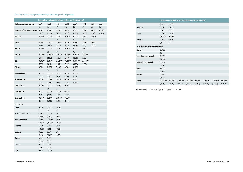| (1.55)                          | (1.29)   |                                                                                           |
|---------------------------------|----------|-------------------------------------------------------------------------------------------|
| 0.181                           | 0.199    |                                                                                           |
| (1.82)                          | (1.93)   |                                                                                           |
|                                 | 0.016    |                                                                                           |
|                                 | (0.08)   |                                                                                           |
| 0.000                           | 0.000    |                                                                                           |
| (.)                             | (.)      |                                                                                           |
| How often do you read the news? |          |                                                                                           |
| 0.000                           |          |                                                                                           |
| (.)                             |          |                                                                                           |
| $0.515***$                      |          |                                                                                           |
| (3.06)                          |          |                                                                                           |
| 0.938***                        |          |                                                                                           |
| (6.16)                          |          |                                                                                           |
| 1.139***                        |          |                                                                                           |
| (7.96)                          |          |                                                                                           |
| $0.910*$                        |          |                                                                                           |
| (2.16)                          |          |                                                                                           |
|                                 |          | 2.935*                                                                                    |
|                                 |          | (19.62)                                                                                   |
|                                 | $-0.057$ | <b>Dependent variable: How in</b><br>$(-0.30)$<br>2.087*** 2.836***<br>(10.19)<br>(17.08) |



Note: t statistic in parentheses; \* p<0.05, \*\* p<0.01, \*\*\* p<0.001

#### **Table 2A: Factors that predict how well informed you think you are**

|                                  | Dependent variable: How informed do you think you are? |                   |                   |                   |                   |            |                   |            |
|----------------------------------|--------------------------------------------------------|-------------------|-------------------|-------------------|-------------------|------------|-------------------|------------|
| Independent variables:           | reg7                                                   | reg8              | reg9              | reg10             | reg11             | reg12      | reg13             | reg14      |
|                                  | b/t                                                    | b/t               | b/t               | b/t               | b/t               | b/t        | b/t               | b/t        |
| <b>Number of correct answers</b> | $0.102***$                                             | $0.126***$        | $0.124***$        | $0.125***$        | $0.118***$        | $0.116***$ | $0.123***$        | $0.130***$ |
|                                  | (5.85)                                                 | (7.05)            | (6.95)            | (7.29)            | (6.97)            | (6.90)     | (7.34)            | (7.79)     |
| Female                           | 0.000                                                  | 0.000             | 0.000             | 0.000             | 0.000             | 0.000      | 0.000             |            |
|                                  | (.)                                                    | $\left( .\right)$ | (.)               | $\left( .\right)$ | $\left( .\right)$ | (.)        | $\left( .\right)$ |            |
| <b>Male</b>                      | $0.198**$                                              | $0.187**$         | $0.200**$         | $0.200**$         | $0.196**$         | $0.201**$  | $0.183**$         |            |
|                                  | (3.16)                                                 | (2.87)            | (3.09)            | (3.12)            | (3.05)            | (3.13)     | (2.85)            |            |
| $18 - 40$                        | 0.000                                                  | 0.000             | 0.000             | 0.000             | 0.000             | 0.000      |                   |            |
|                                  | $\left( .\right)$                                      | (.)               | (.)               | (.)               | $\left( .\right)$ | (.)        |                   |            |
| $41 - 60$                        | $0.264**$                                              | $0.280**$         | $0.296**$         | $0.286**$         | $0.277**$         | $0.289**$  |                   |            |
|                                  | (2.82)                                                 | (2.87)            | (3.05)            | (2.99)            | (2.89)            | (3.05)     |                   |            |
| $61+$                            | $0.246**$                                              | $0.317***$        | $0.329***$        | $0.319***$        | $0.335***$        | $0.348***$ |                   |            |
|                                  | (2.73)                                                 | (3.41)            | (3.56)            | (3.52)            | (3.70)            | (3.88)     |                   |            |
| <b>Metro</b>                     | 0.000                                                  | 0.000             | 0.000             | 0.000             | 0.000             |            |                   |            |
|                                  | (.)                                                    | (.)               | (.)               | (.)               | (.)               |            |                   |            |
| <b>Provincial City</b>           | 0.056                                                  | 0.066             | 0.053             | 0.051             | 0.062             |            |                   |            |
|                                  | (0.73)                                                 | (0.83)            | (0.67)            | (0.64)            | (0.78)            |            |                   |            |
| <b>Towns/Rural</b>               | 0.048                                                  | 0.038             | 0.040             | 0.039             | 0.071             |            |                   |            |
|                                  | (0.65)                                                 | (0.49)            | (0.52)            | (0.51)            | (0.94)            |            |                   |            |
| Deciles 1-3                      | 0.000                                                  | 0.000             | 0.000             | 0.000             |                   |            |                   |            |
|                                  | (.)                                                    | (.)               | (.)               | $\left( .\right)$ |                   |            |                   |            |
| Deciles 4-7                      | 0.142                                                  | 0.170*            | $0.168*$          | $0.167*$          |                   |            |                   |            |
|                                  | (1.81)                                                 | (2.08)            | (2.07)            | (2.07)            |                   |            |                   |            |
| Deciles 8-10                     | $0.271**$                                              | $0.271**$         | $0.260**$         | $0.254*$          |                   |            |                   |            |
|                                  | (2.80)                                                 | (2.70)            | (2.59)            | (2.56)            |                   |            |                   |            |
| <b>Education</b>                 |                                                        |                   |                   |                   |                   |            |                   |            |
| <b>None</b>                      | 0.000                                                  | 0.000             | 0.000             |                   |                   |            |                   |            |
|                                  | (.)                                                    | $\left( .\right)$ | $\left( .\right)$ |                   |                   |            |                   |            |
| <b>School Qualification</b>      | $-0.073$                                               | 0.003             | 0.022             |                   |                   |            |                   |            |
|                                  | $(-0.66)$                                              | (0.03)            | (0.19)            |                   |                   |            |                   |            |
| Trade/diploma                    | $-0.061$                                               | $-0.009$          | 0.003             |                   |                   |            |                   |            |
|                                  | $(-0.57)$                                              | $(-0.08)$         | (0.03)            |                   |                   |            |                   |            |
| <b>Degree</b>                    | $-0.108$                                               | 0.016             | 0.025             |                   |                   |            |                   |            |
|                                  | $(-0.99)$                                              | (0.14)            | (0.22)            |                   |                   |            |                   |            |
| <b>Unsure</b>                    | 0.059                                                  | 0.174             | 0.116             |                   |                   |            |                   |            |
|                                  | (0.30)                                                 | (0.85)            | (0.58)            |                   |                   |            |                   |            |
| Green                            | 0.156                                                  | 0.219             |                   |                   |                   |            |                   |            |
|                                  | (0.90)                                                 | (1.22)            |                   |                   |                   |            |                   |            |
| Labour                           | 0.007                                                  | 0.052             |                   |                   |                   |            |                   |            |
|                                  | (0.07)                                                 | (0.51)            |                   |                   |                   |            |                   |            |
| <b>NZF</b>                       | 0.265                                                  | 0.229             |                   |                   |                   |            |                   |            |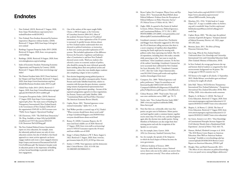## **Endnotes**

- 1. New Zealand. (2019). Retrieved 17 August, 2020, from: https://freedomhouse.org/country/newzealand/freedom-world/2019#CL
- 2. New Zealand: Press freedom threatened by business imperatives | Reporters without borders. (2020). Retrieved 17 August 2020, from https://rsf.org/en/ new-zealand
- 3. Rankings: Legatum Prosperity Index 2019. (2020). Retrieved 10 August, 2020, from: www.prosperity. com/rankings
- 4. Rankings. (2020). Retrieved 10 August, 2020, from: www.doingbusiness.org/en/rankings
- 5. Index of Economic Freedom: Promoting Economic Opportunity and Prosperity by Country. (2020). Retrieved 17 August 2020, from www.heritage.org/ index/
- 6. The Human Freedom Index 2019 | Fraser Institute | Ian Vásquez and Tanja Porčnik, Retrieved 17 August, 2020, from https://www.fraserinstitute.org/sites/ default/files/human-freedom-index-2019-rev.pdf
- 7. Global Peace Index 2019. (2019). Retrieved 17 August, 2020, from http://visionofhumanity.org/app/ uploads/2019/06/GPI-2019-web003.pdf
- 8. Corruption Perceptions Index. (2019). Retrieved 17 August 2020, from https://www.transparency. org/en/cpi# Note: The main source of funding for Transparency International's New Zealand branch is the Government of New Zealand. \$204,326 of the organisation's \$349,491 in 2019 revenues were "Public Sector Support: Operational Funding."
- 9. GK Chesterton, 1929. "The Drift from Domesticity." *The Thing*. Available at: https://d2y1pz2y630308. cloudfront.net/15471/documents/2016/10/ G.K.Chesterton-The%20Thing.pdf
- 10. The New Zealand Political Science Association's report on civics education, for example, notes the inherently political nature not only of civics education content, but also of whether a fact-based approach or a more activist approach can better engage students and create a more engaged citizenry. https://nzpsa.com/resources/Documents/Our%20 Civic%20Future.pdf. The Initiative's broader work in education points to the importance of building on basic factual knowledge to provide tools for later engagement.
- 11. One of the authors of this report taught Public Choice, a 300-level paper, at the University of Canterbury between 2004-2013. Most of the academic literature focuses on US political institutions, so a short explanation of the US system is warranted. It quickly became obvious almost no New Zealand student understands their own electoral or political institutions, so instruction in their own systems preceded explanation of US systems. This included explanations of the difference between the Executive, Legislature and Judiciary; what a Constitution is; and how New Zealand's electoral system works. Third year students who selected a course on economic analysis of politics, who should be among the more informed, generally knew nothing about their own political system and institutions – unless they were double-degree students also completing a degree in laws or politics.
- 12. Post-election bargaining among political parties to form coalitions also affects consequent policy. Torsten Persson and Guido Tabellini found that, relative to countries with first-past-the-post elections, countries using variants of proportional representation have higher levels of government spending – because of the expensive programmes agreed to in these negotiations. See Persson, Torsten and Guido Tabellini. 2004. "Constitutional Rules and Fiscal Policy Outcomes." The American Economic Review (March).
- 13. Caplan, Bryan. 2001. "Rational ignorance versus rational irrationality." *Kyklos* 54:1, 3–26.
- 14. Paul Walker provides a scanned copy of A.J. Danks's "What everyone should know about social credit" at https://antidismal.blogspot.com/2020/03/whateveryone-should-know-about-social.html
- 15. Bomey, N. (2020). Consumer Reports: the 10 most (and least) reliable cars of 2020. Retrieved 17 August, 2020, from www.stuff.co.nz/motoring/ news/117493147/consumer-reports-the-10-mostand-least-reliable-cars-of-2020
- 16. Image 1 of James Madison to W. T. Barry, August 4, 1822. Retrieved 17 August, 2020, from: www.loc. gov/resource/mjm.20\_0155\_0159/?sp=1&st=text
- 17. Somin, I. (1998). Voter ignorance and the democratic ideal. Critical Review, 12(4), 413-458. doi: 10.1080/08913819808443511
- 18. Bryan Caplan, Eric Crampton, Wayne Grove and Ilya Somin. 2013. "Systematically Biased Beliefs about Political Influence: Evidence from the Perceptions of Political Influence on Policy Outcomes Survey." *PS: Political Science & Politics* 46 (4), 760–7.
- 19. Zogby, 2006. As quoted in Ilya Somin & Sanford Levinson, Debate, Democracy, Political Ignorance, and Constitutional Reform, 157 U. PA. L. REV. PENNUMBRA 239 (2009), www.pennumbra.com/ debates/pdfs/ConstitutionalReform.pdf.
- 20. Lizardman's constant is relevant here. Psychiatrist and blogger Scott Alexander suggested in 2013 that the 4% of Americans telling surveyors that there is a secret conspiracy of reptilian alien shapeshifters running the Earth *might* just be messing with pollsters rather than expressing true beliefs. This 4% of respondents, including those who make a mistake while answering or who "just want to watch the world burn," form Lizardman's constant. To the best of the authors' knowledge, Lizardman's Constant has never accurately been calibrated for New Zealand. See Scott Alexander, 2013. "Lizardman's Constant is 4%", *Slate Star Codex*. https://slatestarcodex. com/2013/04/12/noisy-poll-results-and-reptilianmuslim-climatologists-from-mars/
- 21. Crampton, Eric. 2009. "Political ignorance and policy preferences." https://ir.canterbury.ac.nz/ bitstream/handle/10092/2230/12612530\_ Crampton%20Political%20ignorance%20and%20 policy%20preferences.pdf?sequence=1&isAllowed=y
- 22. Colmar Brunton. 2009. "Final results: Voter and non-voter satisfaction survey 2008". pp. 70–72.
- 23. Vowles, Jack. "New Zealand Election Study 2008." 2009. www.nzes.org/docs/codebooks/2008\_ Mass+Survey.pdf
- 24. Note that there are, technically, other ways that parties can gain seats in Parliament. Minor parties can band together under a common banner, together receive more than 5% of the vote, and then fragment again after the election into smaller parties. Sitting Members of Parliament can also resign from their existing parties and seek the recognition of the Speaker as a new party.
- 25. See, for example, Jones, Garrett. 2020. *10% Less Democracy*. Stanford University Press.
- 26. See, for example, the episode of the Simpsons in which the local chapter of Mensa becomes the town government.
- 27. California Academy of Sciences. 2009. "American adults flunk basic science: National survey shows only one-in-five adults can answer three science questions correctly." Press release archived at

https://web.archive.org/web/20101115193721/ https://www.calacademy.org/newsroom/ releases/2009/scientific\_literacy.php

- 28. Mencken, H.L. 1916. "A little book in C major (Opus 22)". A copy is available online via Archive. org and is wonderful. https://archive.org/stream/ littlebookcmajor00mencrich?ref=ol#page/n21/ mode/2up
- 29. Caplan, Bryan, 2003. "The idea trap: the political economy of growth divergence," European Journal of Political Economy, Elsevier, vol. 19(2), pages 183–203, June.
- 30. Brennan, Jason. 2011. *The Ethics of Voting*. Princeton University Press.
- 31. Kate Lang, *What do New Zealand Students Understand about Civic Knowledge and Citizenship*. International Civic and Citizenship Education Study (New Zealand: Ministry of Education, 2010)
- 32. In New Zealand, the average gap between the top and bottom third of students as categorised by their socioeconomic background was 96 points. The average gap in OECD countries was 72.
- 33. NZ history to be taught in all schools, 12 September, 2019. Media Release, www.beehive.govt.nz/release/ nz-history-be-taught-all-schools
- 34. John Hall, "Matter: NCEA Review; Transparency International New Zealand Submission." *Transparency International New Zealand* (December 2018), Web 18 May, 2020. civics-education-needs-consensus
- 35. Shapiro, S., & Brown, C. (2018). The State of Civics Education. Retrieved 17 August, 2020. from www.americanprogress.org/issues/education-k-12/ reports/2018/02/21/446857/state-civics-education/
- 36. Shapiro, S., & Brown, C. (2018). The State of Civics Education. Retrieved 17 August 2020, from www.americanprogress.org/issues/education-k-12/ reports/2018/02/21/446857/state-civics-education/
- 37. See Green, Aronow et al. 2011. "Does Knowledge of Constitutional Principles Increase Support for Civil Liberties? Results from a Randomised Field Experiment." *Journal of Politics* 73(2): 463–76.
- 38. Hansen, Michael, Elizabeth Levesque et al. 2018. "The 2018 Brown Center Report on American Education: How Well are American Students Learning?" Available at www.brookings.edu/wpcontent/uploads/2018/06/2018-Brown-Center-Report-on-American-Education\_FINAL1.pdf
- 39. Hooghe, Marc and Ruth Dassonneville. 2011. "The effects of civic education on political knowledge. A two year panel survey among Belgian adolescents."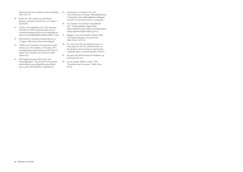*Educational Assessment, Evaluation and Accountability*, 23(4): 321–39.

- 40. Somin, Ilya. 2013. Democracy and Political Ignorance. Stanford University Press. See Chapter 7 in particular.
- 41. "A lack of civics diminishes us all," The Australian, November 19, 2018 www.theaustralian.com.au/ commentary/opinion/a-lack-of-civics-diminishes-usall/news-story/610d8226f1f15285abc793f2177143ac
- 42. Retrieved from: Australiancurriculum.edu.net, on 13 August, 2020, https://tinyurl.com/y5dqssyb
- 43. "Naplan scores: Australia's civics education 'woeful', minister says," The Guardian, 12 December, 2017, www.theguardian.com/australia-news/2017/dec/13/ naplan-scores-australias-civics-education-woefulminister-says
- 44. NAP Sample Assessment 2016: Civics and Citizenship Report – Years 6 and 10, www.nap.edu. au/docs/default-source/default-document-library/ nap-cc-report-2016-final-081217.pdf?sfvrsn=0
- 45. See discussion at Crampton, Eric. 2011. "One of these prices is wrong". Offsetting Behaviour. 14 November. https://offsettingbehaviour.blogspot. com/2011/11/one-of-these-prices-is-wrong.html
- 46. See Crampton, Eric and James Ting-Edwards. 2017. "Analog regulation, digital world." https://nzinitiative.org.nz/reports-and-media/reports/ analog-regulation-digital-world/, pp 35–6.
- 47. Mulligan, Casey B and Charles G Hunter. 2003. "The empirical frequency of a pivotal vote". *Public Choice* 116:31–54.
- 48. For a short list of the most important issues, see recent reports by *The New Zealand Initiative* on the education system, housing, local government, earthquake policy, environmental policy and more.
- 49. Just spray some WD-40 under the distributor cap and hope for the best.
- 50. See, for example, Tullock, Gordon. 1998. "Externalities and Government." *Public Choice* 96:3/4.